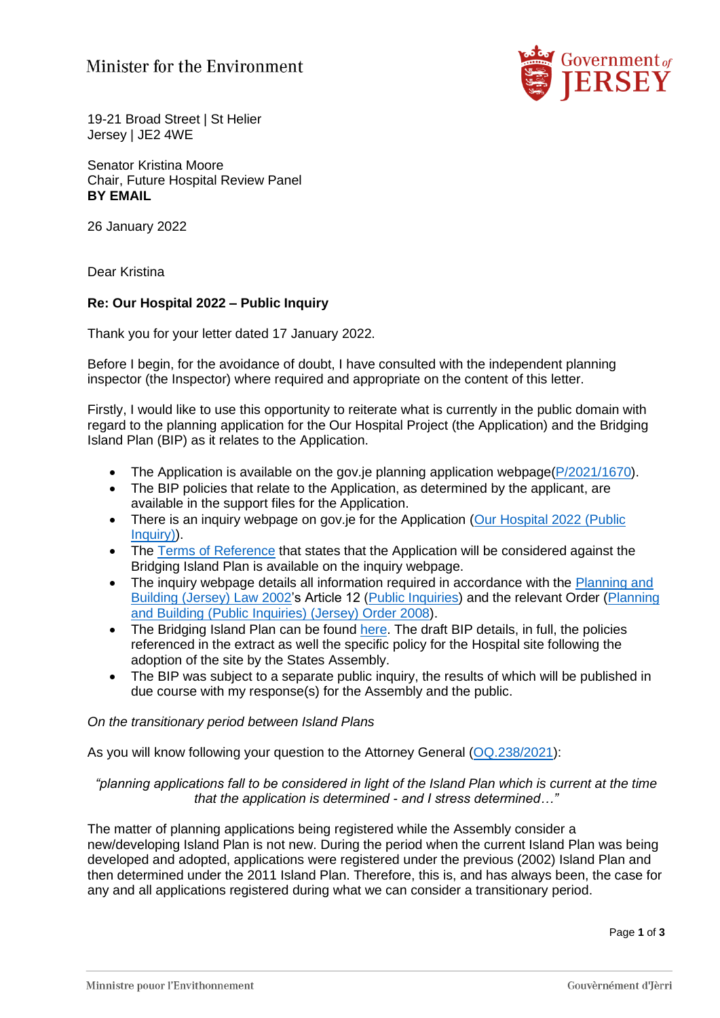## Minister for the Environment



19-21 Broad Street | St Helier Jersey | JE2 4WE

Senator Kristina Moore Chair, Future Hospital Review Panel **BY EMAIL**

26 January 2022

Dear Kristina

## **Re: Our Hospital 2022 – Public Inquiry**

Thank you for your letter dated 17 January 2022.

Before I begin, for the avoidance of doubt, I have consulted with the independent planning inspector (the Inspector) where required and appropriate on the content of this letter.

Firstly, I would like to use this opportunity to reiterate what is currently in the public domain with regard to the planning application for the Our Hospital Project (the Application) and the Bridging Island Plan (BIP) as it relates to the Application.

- The Application is available on the gov.je planning application webpage[\(P/2021/1670\)](https://eur02.safelinks.protection.outlook.com/?url=https%3A%2F%2Fwww.gov.je%2Fcitizen%2Fplanning%2Fpages%2FPlanningApplicationDocuments.aspx%3Fs%3D1%26r%3DP%2F2021%2F1670&data=04%7C01%7C%7C3fd2f8b90d4c41f2c49208d9db32b31b%7C2b5615117ddf495c8164f56ae776c54a%7C0%7C0%7C637781833057380994%7CUnknown%7CTWFpbGZsb3d8eyJWIjoiMC4wLjAwMDAiLCJQIjoiV2luMzIiLCJBTiI6Ik1haWwiLCJXVCI6Mn0%3D%7C3000&sdata=J7T6yeazOjTArOit%2FMGqjhnwBTNw6QIv3fWiAMlm%2BgM%3D&reserved=0).
- The BIP policies that relate to the Application, as determined by the applicant, are available in the support files for the Application.
- There is an inquiry webpage on gov.je for the Application (Our Hospital 2022 (Public [Inquiry\)\)](https://eur02.safelinks.protection.outlook.com/?url=https%3A%2F%2Fwww.gov.je%2FGovernment%2FPublicInquiries%2FPages%2FOurHospital2021.aspx&data=04%7C01%7C%7C3fd2f8b90d4c41f2c49208d9db32b31b%7C2b5615117ddf495c8164f56ae776c54a%7C0%7C0%7C637781833057380994%7CUnknown%7CTWFpbGZsb3d8eyJWIjoiMC4wLjAwMDAiLCJQIjoiV2luMzIiLCJBTiI6Ik1haWwiLCJXVCI6Mn0%3D%7C3000&sdata=T5tGKmrUbW5xuyDeVfQd%2FRFmDZC4N6T3T617Z7lGjUI%3D&reserved=0).
- The [Terms of Reference](https://eur02.safelinks.protection.outlook.com/?url=https%3A%2F%2Fwww.gov.je%2FSiteCollectionDocuments%2FGovernment%2520and%2520administration%2FOH22%2520L%2520Appointment%2520of%2520Inquiry%2520Inspector%2520Dec%25202022.pdf&data=04%7C01%7C%7C3fd2f8b90d4c41f2c49208d9db32b31b%7C2b5615117ddf495c8164f56ae776c54a%7C0%7C0%7C637781833057380994%7CUnknown%7CTWFpbGZsb3d8eyJWIjoiMC4wLjAwMDAiLCJQIjoiV2luMzIiLCJBTiI6Ik1haWwiLCJXVCI6Mn0%3D%7C3000&sdata=w3SPmxd40obLq0KYfoBfM%2BaJARdvr7ud1XmXHhY5vPo%3D&reserved=0) that states that the Application will be considered against the Bridging Island Plan is available on the inquiry webpage.
- The inquiry webpage details all information required in accordance with the Planning and [Building \(Jersey\) Law 2002'](https://eur02.safelinks.protection.outlook.com/?url=https%3A%2F%2Fwww.jerseylaw.je%2Flaws%2Fcurrent%2FPages%2F22.550.aspx&data=04%7C01%7C%7C3fd2f8b90d4c41f2c49208d9db32b31b%7C2b5615117ddf495c8164f56ae776c54a%7C0%7C0%7C637781833057380994%7CUnknown%7CTWFpbGZsb3d8eyJWIjoiMC4wLjAwMDAiLCJQIjoiV2luMzIiLCJBTiI6Ik1haWwiLCJXVCI6Mn0%3D%7C3000&sdata=%2B183%2BXf2k2kcobfR2LUjstG3SnbiGmK2EH10zMm%2BoVE%3D&reserved=0)s Article 12 [\(Public Inquiries\)](https://eur02.safelinks.protection.outlook.com/?url=https%3A%2F%2Fwww.jerseylaw.je%2Flaws%2Fcurrent%2FPages%2F22.550.aspx%23_Toc83396376&data=04%7C01%7C%7C3fd2f8b90d4c41f2c49208d9db32b31b%7C2b5615117ddf495c8164f56ae776c54a%7C0%7C0%7C637781833057380994%7CUnknown%7CTWFpbGZsb3d8eyJWIjoiMC4wLjAwMDAiLCJQIjoiV2luMzIiLCJBTiI6Ik1haWwiLCJXVCI6Mn0%3D%7C3000&sdata=8na8yjgiHwr5U63puXxX7rtiG1ZYpXDN0ilMpARrdHM%3D&reserved=0) and the relevant Order [\(Planning](https://eur02.safelinks.protection.outlook.com/?url=https%3A%2F%2Fwww.jerseylaw.je%2Flaws%2Fcurrent%2FPages%2F22.550.42.aspx&data=04%7C01%7C%7C3fd2f8b90d4c41f2c49208d9db32b31b%7C2b5615117ddf495c8164f56ae776c54a%7C0%7C0%7C637781833057380994%7CUnknown%7CTWFpbGZsb3d8eyJWIjoiMC4wLjAwMDAiLCJQIjoiV2luMzIiLCJBTiI6Ik1haWwiLCJXVCI6Mn0%3D%7C3000&sdata=Qmuo9frFQ3hXseMQiF8Mwi%2Bb3VEpb2OJWgjOJD4axp0%3D&reserved=0)  [and Building \(Public Inquiries\) \(Jersey\) Order 2008\)](https://eur02.safelinks.protection.outlook.com/?url=https%3A%2F%2Fwww.jerseylaw.je%2Flaws%2Fcurrent%2FPages%2F22.550.42.aspx&data=04%7C01%7C%7C3fd2f8b90d4c41f2c49208d9db32b31b%7C2b5615117ddf495c8164f56ae776c54a%7C0%7C0%7C637781833057380994%7CUnknown%7CTWFpbGZsb3d8eyJWIjoiMC4wLjAwMDAiLCJQIjoiV2luMzIiLCJBTiI6Ik1haWwiLCJXVCI6Mn0%3D%7C3000&sdata=Qmuo9frFQ3hXseMQiF8Mwi%2Bb3VEpb2OJWgjOJD4axp0%3D&reserved=0).
- The Bridging Island Plan can be found [here.](https://eur02.safelinks.protection.outlook.com/?url=https%3A%2F%2Fwww.gov.je%2FPlanningBuilding%2FLawsRegs%2FIslandPlan%2Fpages%2Fdefault.aspx&data=04%7C01%7C%7C3fd2f8b90d4c41f2c49208d9db32b31b%7C2b5615117ddf495c8164f56ae776c54a%7C0%7C0%7C637781833057380994%7CUnknown%7CTWFpbGZsb3d8eyJWIjoiMC4wLjAwMDAiLCJQIjoiV2luMzIiLCJBTiI6Ik1haWwiLCJXVCI6Mn0%3D%7C3000&sdata=vVDEePphwjpOGoeuv0nyZfW2SZmuIiPLgshZQwctEf4%3D&reserved=0) The draft BIP details, in full, the policies referenced in the extract as well the specific policy for the Hospital site following the adoption of the site by the States Assembly.
- The BIP was subject to a separate public inquiry, the results of which will be published in due course with my response(s) for the Assembly and the public.

#### *On the transitionary period between Island Plans*

As you will know following your question to the Attorney General [\(OQ.238/2021\)](https://statesassembly.gov.je/Pages/Questions.aspx?Navigator1=GovJEYear&Modifier1=%22%c7%82%c7%8232303231%22&Navigator2=SADocumentType&Modifier2=%22%c7%82%c7%824f72616c%22):

## *"planning applications fall to be considered in light of the Island Plan which is current at the time that the application is determined - and I stress determined…"*

The matter of planning applications being registered while the Assembly consider a new/developing Island Plan is not new. During the period when the current Island Plan was being developed and adopted, applications were registered under the previous (2002) Island Plan and then determined under the 2011 Island Plan. Therefore, this is, and has always been, the case for any and all applications registered during what we can consider a transitionary period.

Page **1** of **3**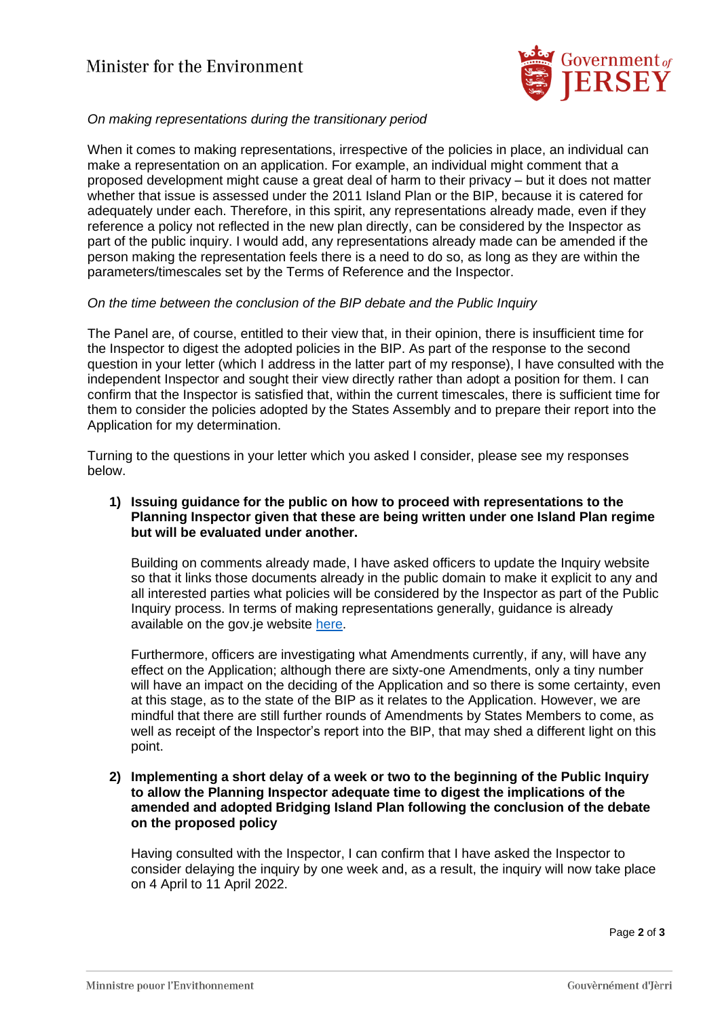# Minister for the Environment



## *On making representations during the transitionary period*

When it comes to making representations, irrespective of the policies in place, an individual can make a representation on an application. For example, an individual might comment that a proposed development might cause a great deal of harm to their privacy – but it does not matter whether that issue is assessed under the 2011 Island Plan or the BIP, because it is catered for adequately under each. Therefore, in this spirit, any representations already made, even if they reference a policy not reflected in the new plan directly, can be considered by the Inspector as part of the public inquiry. I would add, any representations already made can be amended if the person making the representation feels there is a need to do so, as long as they are within the parameters/timescales set by the Terms of Reference and the Inspector.

## *On the time between the conclusion of the BIP debate and the Public Inquiry*

The Panel are, of course, entitled to their view that, in their opinion, there is insufficient time for the Inspector to digest the adopted policies in the BIP. As part of the response to the second question in your letter (which I address in the latter part of my response), I have consulted with the independent Inspector and sought their view directly rather than adopt a position for them. I can confirm that the Inspector is satisfied that, within the current timescales, there is sufficient time for them to consider the policies adopted by the States Assembly and to prepare their report into the Application for my determination.

Turning to the questions in your letter which you asked I consider, please see my responses below.

## **1) Issuing guidance for the public on how to proceed with representations to the Planning Inspector given that these are being written under one Island Plan regime but will be evaluated under another.**

Building on comments already made, I have asked officers to update the Inquiry website so that it links those documents already in the public domain to make it explicit to any and all interested parties what policies will be considered by the Inspector as part of the Public Inquiry process. In terms of making representations generally, guidance is already available on the gov.je website [here.](https://www.gov.je/PlanningBuilding/CurrentPlanningApplications/pages/comment.aspx)

Furthermore, officers are investigating what Amendments currently, if any, will have any effect on the Application; although there are sixty-one Amendments, only a tiny number will have an impact on the deciding of the Application and so there is some certainty, even at this stage, as to the state of the BIP as it relates to the Application. However, we are mindful that there are still further rounds of Amendments by States Members to come, as well as receipt of the Inspector's report into the BIP, that may shed a different light on this point.

### **2) Implementing a short delay of a week or two to the beginning of the Public Inquiry to allow the Planning Inspector adequate time to digest the implications of the amended and adopted Bridging Island Plan following the conclusion of the debate on the proposed policy**

Having consulted with the Inspector, I can confirm that I have asked the Inspector to consider delaying the inquiry by one week and, as a result, the inquiry will now take place on 4 April to 11 April 2022.

Page **2** of **3**